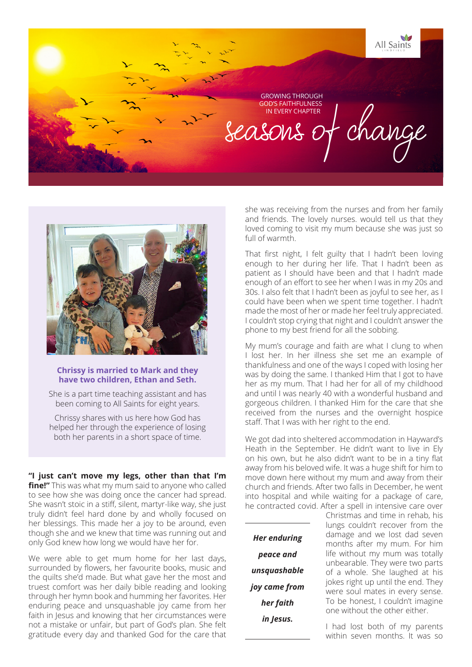All Saints GROWING THROUGH GOD'S FAITHFULNESS IN EVERY CHAPTER Beasons of change



## **Chrissy is married to Mark and they have two children, Ethan and Seth.**

She is a part time teaching assistant and has been coming to All Saints for eight years.

Chrissy shares with us here how God has helped her through the experience of losing both her parents in a short space of time.

**"I just can't move my legs, other than that I'm fine!"** This was what my mum said to anyone who called to see how she was doing once the cancer had spread. She wasn't stoic in a stiff, silent, martyr-like way, she just truly didn't feel hard done by and wholly focused on her blessings. This made her a joy to be around, even though she and we knew that time was running out and only God knew how long we would have her for.

We were able to get mum home for her last days, surrounded by flowers, her favourite books, music and the quilts she'd made. But what gave her the most and truest comfort was her daily bible reading and looking through her hymn book and humming her favorites. Her enduring peace and unsquashable joy came from her faith in Jesus and knowing that her circumstances were not a mistake or unfair, but part of God's plan. She felt gratitude every day and thanked God for the care that

she was receiving from the nurses and from her family and friends. The lovely nurses. would tell us that they loved coming to visit my mum because she was just so full of warmth.

That first night, I felt guilty that I hadn't been loving enough to her during her life. That I hadn't been as patient as I should have been and that I hadn't made enough of an effort to see her when I was in my 20s and 30s. I also felt that I hadn't been as joyful to see her, as I could have been when we spent time together. I hadn't made the most of her or made her feel truly appreciated. I couldn't stop crying that night and I couldn't answer the phone to my best friend for all the sobbing.

My mum's courage and faith are what I clung to when I lost her. In her illness she set me an example of thankfulness and one of the ways I coped with losing her was by doing the same. I thanked Him that I got to have her as my mum. That I had her for all of my childhood and until I was nearly 40 with a wonderful husband and gorgeous children. I thanked Him for the care that she received from the nurses and the overnight hospice staff. That I was with her right to the end.

We got dad into sheltered accommodation in Hayward's Heath in the September. He didn't want to live in Ely on his own, but he also didn't want to be in a tiny flat away from his beloved wife. It was a huge shift for him to move down here without my mum and away from their church and friends. After two falls in December, he went into hospital and while waiting for a package of care, he contracted covid. After a spell in intensive care over

*Her enduring peace and unsquashable joy came from her faith in Jesus.*

Christmas and time in rehab, his lungs couldn't recover from the damage and we lost dad seven months after my mum. For him life without my mum was totally unbearable. They were two parts of a whole. She laughed at his jokes right up until the end. They were soul mates in every sense. To be honest, I couldn't imagine one without the other either.

I had lost both of my parents within seven months. It was so